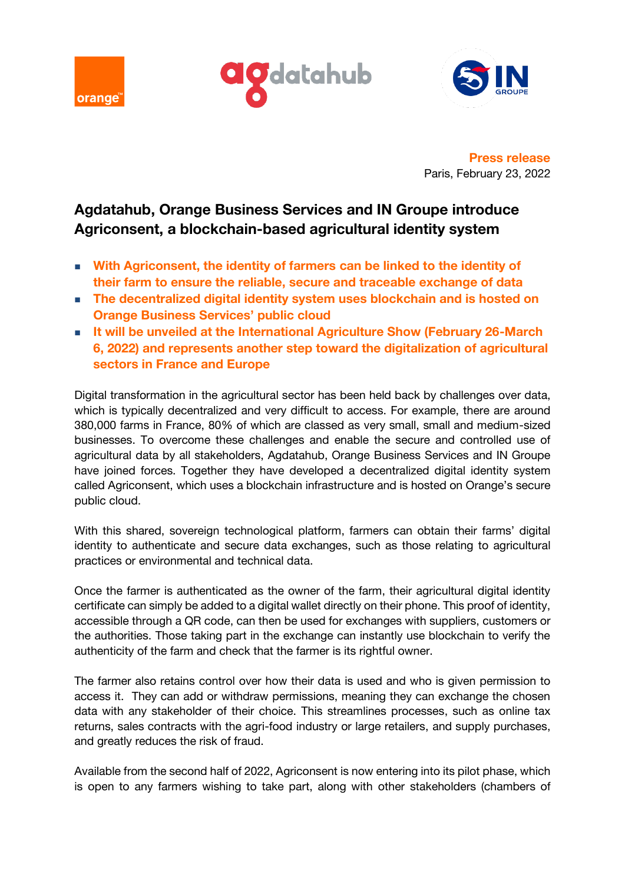





**Press release** Paris, February 23, 2022

# **Agdatahub, Orange Business Services and IN Groupe introduce Agriconsent, a blockchain-based agricultural identity system**

- With Agriconsent, the identity of farmers can be linked to the identity of **their farm to ensure the reliable, secure and traceable exchange of data**
- The decentralized digital identity system uses blockchain and is hosted on **Orange Business Services' public cloud**
- It will be unveiled at the International Agriculture Show (February 26-March **6, 2022) and represents another step toward the digitalization of agricultural sectors in France and Europe**

Digital transformation in the agricultural sector has been held back by challenges over data, which is typically decentralized and very difficult to access. For example, there are around 380,000 farms in France, 80% of which are classed as very small, small and medium-sized businesses. To overcome these challenges and enable the secure and controlled use of agricultural data by all stakeholders, Agdatahub, Orange Business Services and IN Groupe have joined forces. Together they have developed a decentralized digital identity system called Agriconsent, which uses a blockchain infrastructure and is hosted on Orange's secure public cloud.

With this shared, sovereign technological platform, farmers can obtain their farms' digital identity to authenticate and secure data exchanges, such as those relating to agricultural practices or environmental and technical data.

Once the farmer is authenticated as the owner of the farm, their agricultural digital identity certificate can simply be added to a digital wallet directly on their phone. This proof of identity, accessible through a QR code, can then be used for exchanges with suppliers, customers or the authorities. Those taking part in the exchange can instantly use blockchain to verify the authenticity of the farm and check that the farmer is its rightful owner.

The farmer also retains control over how their data is used and who is given permission to access it. They can add or withdraw permissions, meaning they can exchange the chosen data with any stakeholder of their choice. This streamlines processes, such as online tax returns, sales contracts with the agri-food industry or large retailers, and supply purchases, and greatly reduces the risk of fraud.

Available from the second half of 2022, Agriconsent is now entering into its pilot phase, which is open to any farmers wishing to take part, along with other stakeholders (chambers of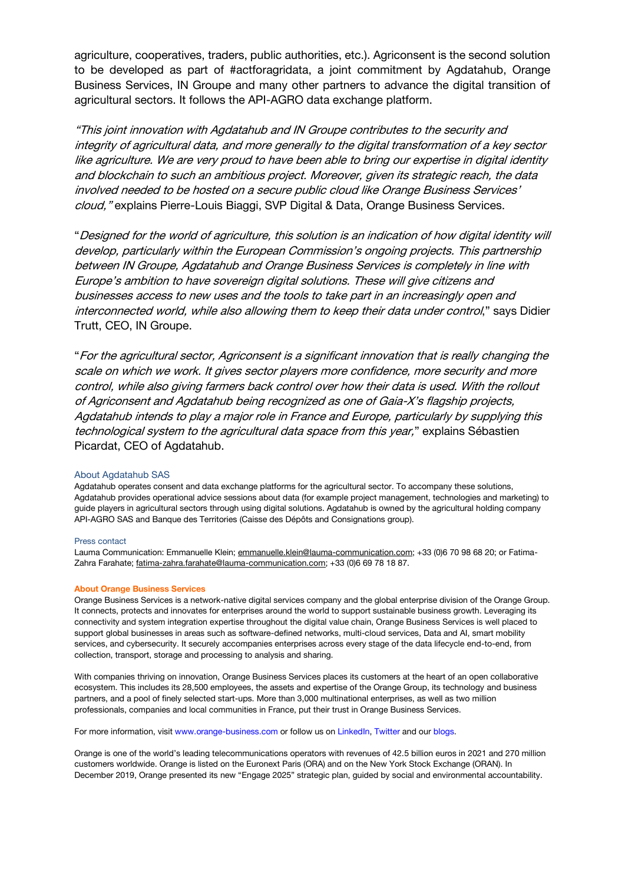agriculture, cooperatives, traders, public authorities, etc.). Agriconsent is the second solution to be developed as part of #actforagridata, a joint commitment by Agdatahub, Orange Business Services, IN Groupe and many other partners to advance the digital transition of agricultural sectors. It follows the API-AGRO data exchange platform.

"This joint innovation with Agdatahub and IN Groupe contributes to the security and integrity of agricultural data, and more generally to the digital transformation of a key sector like agriculture. We are very proud to have been able to bring our expertise in digital identity and blockchain to such an ambitious project. Moreover, given its strategic reach, the data involved needed to be hosted on a secure public cloud like Orange Business Services' cloud, " explains Pierre-Louis Biaggi, SVP Digital & Data, Orange Business Services.

"Designed for the world of agriculture, this solution is an indication of how digital identity will develop, particularly within the European Commission's ongoing projects. This partnership between IN Groupe, Agdatahub and Orange Business Services is completely in line with Europe's ambition to have sovereign digital solutions. These will give citizens and businesses access to new uses and the tools to take part in an increasingly open and interconnected world, while also allowing them to keep their data under control," says Didier Trutt, CEO, IN Groupe.

"For the agricultural sector, Agriconsent is a significant innovation that is really changing the scale on which we work. It gives sector players more confidence, more security and more control, while also giving farmers back control over how their data is used. With the rollout of Agriconsent and Agdatahub being recognized as one of Gaia-X's flagship projects, Agdatahub intends to play a major role in France and Europe, particularly by supplying this technological system to the agricultural data space from this year," explains Sébastien Picardat, CEO of Agdatahub.

# About Agdatahub SAS

Agdatahub operates consent and data exchange platforms for the agricultural sector. To accompany these solutions, Agdatahub provides operational advice sessions about data (for example project management, technologies and marketing) to guide players in agricultural sectors through using digital solutions. Agdatahub is owned by the agricultural holding company API-AGRO SAS and Banque des Territories (Caisse des Dépôts and Consignations group).

### Press contact

Lauma Communication: Emmanuelle Klein[; emmanuelle.klein@lauma-communication.com;](mailto:emmanuelle.klein@lauma-communication.com) +33 (0)6 70 98 68 20; or Fatima-Zahra Farahate[; fatima-zahra.farahate@lauma-communication.com;](mailto:fatima-zahra.farahate@lauma-communication.com) +33 (0)6 69 78 18 87.

#### **About Orange Business Services**

Orange Business Services is a network-native digital services company and the global enterprise division of the Orange Group. It connects, protects and innovates for enterprises around the world to support sustainable business growth. Leveraging its connectivity and system integration expertise throughout the digital value chain, Orange Business Services is well placed to support global businesses in areas such as software-defined networks, multi-cloud services, Data and AI, smart mobility services, and cybersecurity. It securely accompanies enterprises across every stage of the data lifecycle end-to-end, from collection, transport, storage and processing to analysis and sharing.

With companies thriving on innovation, Orange Business Services places its customers at the heart of an open collaborative ecosystem. This includes its 28,500 employees, the assets and expertise of the Orange Group, its technology and business partners, and a pool of finely selected start-ups. More than 3,000 multinational enterprises, as well as two million professionals, companies and local communities in France, put their trust in Orange Business Services.

For more information, visit www.orange-business.com or follow us on LinkedIn, Twitter and our blogs.

Orange is one of the world's leading telecommunications operators with revenues of 42.5 billion euros in 2021 and 270 million customers worldwide. Orange is listed on the Euronext Paris (ORA) and on the New York Stock Exchange (ORAN). In December 2019, Orange presented its new "Engage 2025" strategic plan, guided by social and environmental accountability.